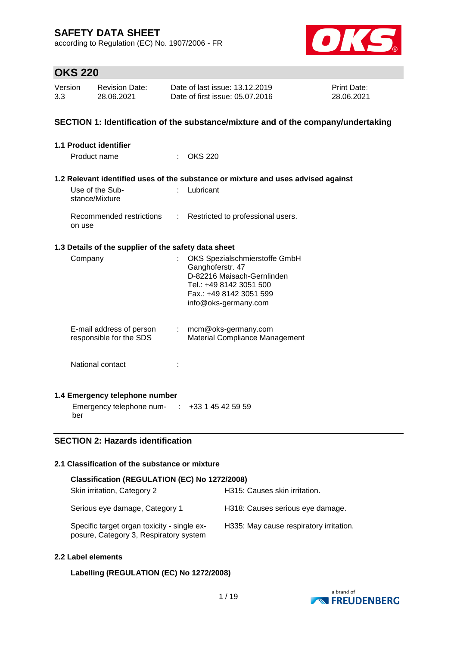according to Regulation (EC) No. 1907/2006 - FR



# **OKS 220**

| Version | <b>Revision Date:</b> | Date of last issue: 13.12.2019  | <b>Print Date:</b> |
|---------|-----------------------|---------------------------------|--------------------|
| 3.3     | 28.06.2021            | Date of first issue: 05.07.2016 | 28.06.2021         |

### **SECTION 1: Identification of the substance/mixture and of the company/undertaking**

| <b>1.1 Product identifier</b>     |                                                      |             |                                                                                                                                                               |
|-----------------------------------|------------------------------------------------------|-------------|---------------------------------------------------------------------------------------------------------------------------------------------------------------|
| Product name                      |                                                      |             | <b>OKS 220</b>                                                                                                                                                |
|                                   |                                                      |             |                                                                                                                                                               |
|                                   |                                                      |             | 1.2 Relevant identified uses of the substance or mixture and uses advised against                                                                             |
| Use of the Sub-<br>stance/Mixture |                                                      | $\bullet$ . | Lubricant                                                                                                                                                     |
| on use                            | Recommended restrictions                             |             | : Restricted to professional users.                                                                                                                           |
|                                   | 1.3 Details of the supplier of the safety data sheet |             |                                                                                                                                                               |
| Company                           |                                                      |             | OKS Spezialschmierstoffe GmbH<br>Ganghoferstr. 47<br>D-82216 Maisach-Gernlinden<br>Tel.: +49 8142 3051 500<br>Fax.: +49 8142 3051 599<br>info@oks-germany.com |
|                                   | E-mail address of person<br>responsible for the SDS  |             | $:$ mcm@oks-germany.com<br>Material Compliance Management                                                                                                     |
| National contact                  |                                                      |             |                                                                                                                                                               |
|                                   | 1.4 Emergency telephone number                       |             |                                                                                                                                                               |
|                                   | Emergency telephone num- $\cdot$ +33 1 45 42 59 59   |             |                                                                                                                                                               |

# **SECTION 2: Hazards identification**

### **2.1 Classification of the substance or mixture**

| Classification (REGULATION (EC) No 1272/2008)                                         |                                         |
|---------------------------------------------------------------------------------------|-----------------------------------------|
| Skin irritation, Category 2                                                           | H315: Causes skin irritation.           |
| Serious eye damage, Category 1                                                        | H318: Causes serious eye damage.        |
| Specific target organ toxicity - single ex-<br>posure, Category 3, Respiratory system | H335: May cause respiratory irritation. |

### **2.2 Label elements**

ber

### **Labelling (REGULATION (EC) No 1272/2008)**

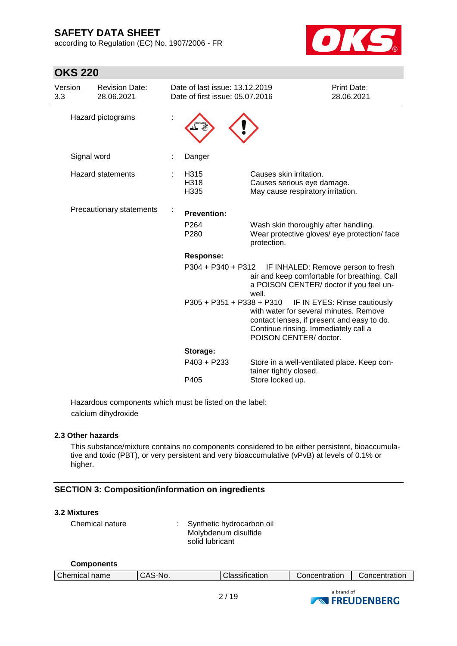**OKS 220**

according to Regulation (EC) No. 1907/2006 - FR



| Version<br>3.3 | <b>Revision Date:</b><br>28.06.2021 | Date of last issue: 13.12.2019<br>Date of first issue: 05.07.2016 |                                                                                                                                                        | Print Date:<br>28.06.2021          |
|----------------|-------------------------------------|-------------------------------------------------------------------|--------------------------------------------------------------------------------------------------------------------------------------------------------|------------------------------------|
|                | Hazard pictograms                   |                                                                   |                                                                                                                                                        |                                    |
|                | Signal word                         | Danger                                                            |                                                                                                                                                        |                                    |
|                | <b>Hazard statements</b>            | H315<br>H318<br>H335                                              | Causes skin irritation.<br>Causes serious eye damage.<br>May cause respiratory irritation.                                                             |                                    |
|                | Precautionary statements            | <b>Prevention:</b>                                                |                                                                                                                                                        |                                    |
|                |                                     | P <sub>264</sub><br>P <sub>280</sub>                              | Wash skin thoroughly after handling.<br>Wear protective gloves/ eye protection/ face<br>protection.                                                    |                                    |
|                |                                     | Response:                                                         |                                                                                                                                                        |                                    |
|                |                                     | P304 + P340 + P312                                                | air and keep comfortable for breathing. Call<br>a POISON CENTER/ doctor if you feel un-<br>well.                                                       | IF INHALED: Remove person to fresh |
|                |                                     | P305 + P351 + P338 + P310                                         | with water for several minutes. Remove<br>contact lenses, if present and easy to do.<br>Continue rinsing. Immediately call a<br>POISON CENTER/ doctor. | IF IN EYES: Rinse cautiously       |
|                |                                     | Storage:                                                          |                                                                                                                                                        |                                    |
|                |                                     | P403 + P233                                                       | Store in a well-ventilated place. Keep con-<br>tainer tightly closed.                                                                                  |                                    |
|                |                                     | P405                                                              | Store locked up.                                                                                                                                       |                                    |

Hazardous components which must be listed on the label: calcium dihydroxide

### **2.3 Other hazards**

This substance/mixture contains no components considered to be either persistent, bioaccumulative and toxic (PBT), or very persistent and very bioaccumulative (vPvB) at levels of 0.1% or higher.

### **SECTION 3: Composition/information on ingredients**

### **3.2 Mixtures**

**Components**

| Chemical nature | : Synthetic hydrocarbon oil |
|-----------------|-----------------------------|
|                 | Molybdenum disulfide        |
|                 | solid lubricant             |

| "             |         |                |               |               |
|---------------|---------|----------------|---------------|---------------|
| Chemical name | CAS-No. | Classification | Concentration | Concentration |
|               |         |                |               |               |
|               |         |                | المصامعات     |               |

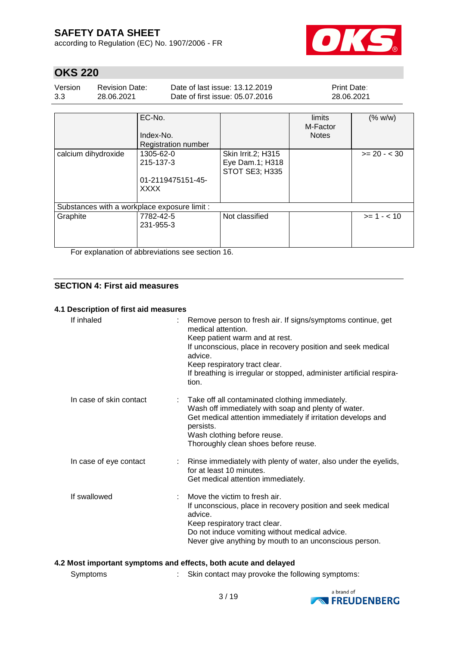according to Regulation (EC) No. 1907/2006 - FR



# **OKS 220**

| Version | Revision Date: | Date of last issue: 13.12.2019  | <b>Print Date:</b> |
|---------|----------------|---------------------------------|--------------------|
| 3.3     | 28.06.2021     | Date of first issue: 05.07.2016 | 28.06.2021         |

|                                              | EC-No.<br>Index-No.<br>Registration number                 |                                                         | limits<br>M-Factor<br><b>Notes</b> | (% w/w)        |
|----------------------------------------------|------------------------------------------------------------|---------------------------------------------------------|------------------------------------|----------------|
| calcium dihydroxide                          | 1305-62-0<br>215-137-3<br>01-2119475151-45-<br><b>XXXX</b> | Skin Irrit.2; H315<br>Eye Dam.1; H318<br>STOT SE3; H335 |                                    | $>= 20 - < 30$ |
| Substances with a workplace exposure limit : |                                                            |                                                         |                                    |                |
| Graphite                                     | 7782-42-5<br>231-955-3                                     | Not classified                                          |                                    | $>= 1 - < 10$  |

For explanation of abbreviations see section 16.

### **SECTION 4: First aid measures**

### **4.1 Description of first aid measures**

| If inhaled              | Remove person to fresh air. If signs/symptoms continue, get<br>medical attention.<br>Keep patient warm and at rest.<br>If unconscious, place in recovery position and seek medical<br>advice.<br>Keep respiratory tract clear.<br>If breathing is irregular or stopped, administer artificial respira-<br>tion. |
|-------------------------|-----------------------------------------------------------------------------------------------------------------------------------------------------------------------------------------------------------------------------------------------------------------------------------------------------------------|
| In case of skin contact | Take off all contaminated clothing immediately.<br>Wash off immediately with soap and plenty of water.<br>Get medical attention immediately if irritation develops and<br>persists.<br>Wash clothing before reuse.<br>Thoroughly clean shoes before reuse.                                                      |
| In case of eye contact  | Rinse immediately with plenty of water, also under the eyelids,<br>for at least 10 minutes.<br>Get medical attention immediately.                                                                                                                                                                               |
| If swallowed            | Move the victim to fresh air.<br>If unconscious, place in recovery position and seek medical<br>advice.<br>Keep respiratory tract clear.<br>Do not induce vomiting without medical advice.<br>Never give anything by mouth to an unconscious person.                                                            |

### **4.2 Most important symptoms and effects, both acute and delayed**

| Symptoms | Skin contact may provoke the following symptoms: |  |
|----------|--------------------------------------------------|--|
|----------|--------------------------------------------------|--|

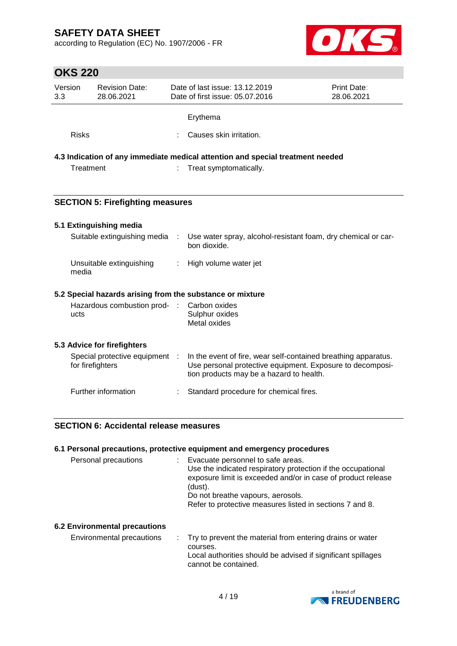according to Regulation (EC) No. 1907/2006 - FR



# **OKS 220**

| Version<br>3.3 | <b>Revision Date:</b><br>28.06.2021                       |            | Date of last issue: 13.12.2019<br>Date of first issue: 05.07.2016                                                                                                       | Print Date:<br>28.06.2021 |
|----------------|-----------------------------------------------------------|------------|-------------------------------------------------------------------------------------------------------------------------------------------------------------------------|---------------------------|
|                |                                                           |            | Erythema                                                                                                                                                                |                           |
| <b>Risks</b>   |                                                           |            | Causes skin irritation.                                                                                                                                                 |                           |
|                |                                                           |            | 4.3 Indication of any immediate medical attention and special treatment needed                                                                                          |                           |
|                | Treatment                                                 |            | Treat symptomatically.                                                                                                                                                  |                           |
|                | <b>SECTION 5: Firefighting measures</b>                   |            |                                                                                                                                                                         |                           |
|                | 5.1 Extinguishing media                                   |            |                                                                                                                                                                         |                           |
|                | Suitable extinguishing media                              | ÷          | Use water spray, alcohol-resistant foam, dry chemical or car-<br>bon dioxide.                                                                                           |                           |
|                | Unsuitable extinguishing<br>media                         |            | High volume water jet                                                                                                                                                   |                           |
|                | 5.2 Special hazards arising from the substance or mixture |            |                                                                                                                                                                         |                           |
| ucts           | Hazardous combustion prod-                                | $\sim 200$ | Carbon oxides<br>Sulphur oxides<br>Metal oxides                                                                                                                         |                           |
|                | 5.3 Advice for firefighters                               |            |                                                                                                                                                                         |                           |
|                | Special protective equipment<br>for firefighters          | - 1        | In the event of fire, wear self-contained breathing apparatus.<br>Use personal protective equipment. Exposure to decomposi-<br>tion products may be a hazard to health. |                           |
|                | Further information                                       |            | Standard procedure for chemical fires.                                                                                                                                  |                           |

### **6.1 Personal precautions, protective equipment and emergency procedures**

| Evacuate personnel to safe areas.<br>Use the indicated respiratory protection if the occupational<br>exposure limit is exceeded and/or in case of product release<br>(dust).<br>Do not breathe vapours, aerosols.<br>Refer to protective measures listed in sections 7 and 8. |
|-------------------------------------------------------------------------------------------------------------------------------------------------------------------------------------------------------------------------------------------------------------------------------|
|                                                                                                                                                                                                                                                                               |
|                                                                                                                                                                                                                                                                               |

Environmental precautions : Try to prevent the material from entering drains or water courses. Local authorities should be advised if significant spillages cannot be contained.

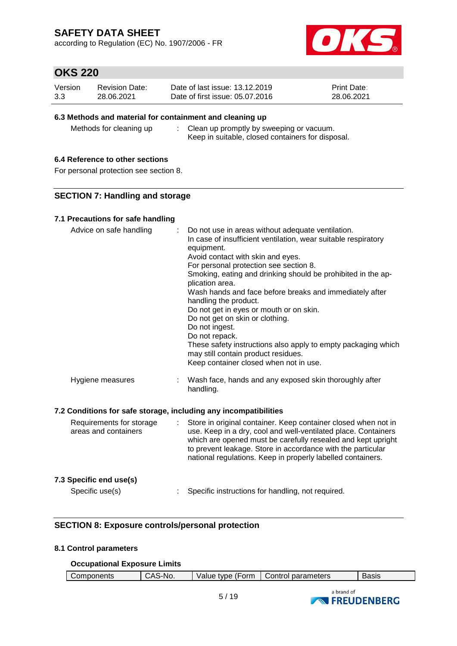according to Regulation (EC) No. 1907/2006 - FR



# **OKS 220**

| Version | <b>Revision Date:</b> | Date of last issue: 13.12.2019  | <b>Print Date:</b> |
|---------|-----------------------|---------------------------------|--------------------|
| 3.3     | 28.06.2021            | Date of first issue: 05.07.2016 | 28.06.2021         |

### **6.3 Methods and material for containment and cleaning up**

Methods for cleaning up : Clean up promptly by sweeping or vacuum. Keep in suitable, closed containers for disposal.

### **6.4 Reference to other sections**

For personal protection see section 8.

### **SECTION 7: Handling and storage**

### **7.1 Precautions for safe handling**

| Advice on safe handling                                          |   | Do not use in areas without adequate ventilation.<br>In case of insufficient ventilation, wear suitable respiratory<br>equipment.<br>Avoid contact with skin and eyes.<br>For personal protection see section 8.<br>Smoking, eating and drinking should be prohibited in the ap-<br>plication area.<br>Wash hands and face before breaks and immediately after<br>handling the product.<br>Do not get in eyes or mouth or on skin.<br>Do not get on skin or clothing.<br>Do not ingest.<br>Do not repack.<br>These safety instructions also apply to empty packaging which<br>may still contain product residues.<br>Keep container closed when not in use. |
|------------------------------------------------------------------|---|-------------------------------------------------------------------------------------------------------------------------------------------------------------------------------------------------------------------------------------------------------------------------------------------------------------------------------------------------------------------------------------------------------------------------------------------------------------------------------------------------------------------------------------------------------------------------------------------------------------------------------------------------------------|
| Hygiene measures                                                 |   | Wash face, hands and any exposed skin thoroughly after<br>handling.                                                                                                                                                                                                                                                                                                                                                                                                                                                                                                                                                                                         |
| 7.2 Conditions for safe storage, including any incompatibilities |   |                                                                                                                                                                                                                                                                                                                                                                                                                                                                                                                                                                                                                                                             |
| Requirements for storage<br>areas and containers                 | ÷ | Store in original container. Keep container closed when not in<br>use. Keep in a dry, cool and well-ventilated place. Containers<br>which are opened must be carefully resealed and kept upright<br>to prevent leakage. Store in accordance with the particular<br>national regulations. Keep in properly labelled containers.                                                                                                                                                                                                                                                                                                                              |

### **7.3 Specific end use(s)**

Specific use(s) : Specific instructions for handling, not required.

### **SECTION 8: Exposure controls/personal protection**

#### **8.1 Control parameters**

### **Occupational Exposure Limits**

| Components | S-No.<br>CAS· | Value type (Form | Control parameters | Basis |
|------------|---------------|------------------|--------------------|-------|
|            |               |                  |                    |       |
|            |               |                  | a hrand of         |       |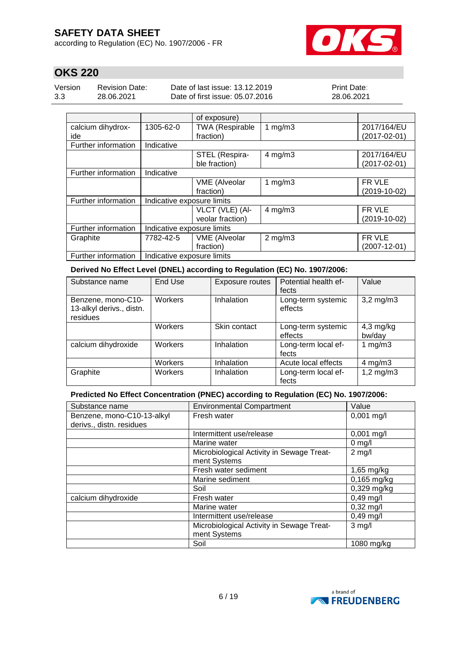according to Regulation (EC) No. 1907/2006 - FR



# **OKS 220**

| Version | Revision Date: | Date of last issue: 13.12.2019  | <b>Print Date:</b> |
|---------|----------------|---------------------------------|--------------------|
| 3.3     | 28.06.2021     | Date of first issue: 05.07.2016 | 28.06.2021         |

|                     |                            | of exposure)           |              |                    |
|---------------------|----------------------------|------------------------|--------------|--------------------|
| calcium dihydrox-   | 1305-62-0                  | <b>TWA (Respirable</b> | 1 $mg/m3$    | 2017/164/EU        |
| ide                 |                            | fraction)              |              | $(2017 - 02 - 01)$ |
| Further information | Indicative                 |                        |              |                    |
|                     |                            | STEL (Respira-         | $4$ mg/m $3$ | 2017/164/EU        |
|                     |                            | ble fraction)          |              | $(2017 - 02 - 01)$ |
| Further information | Indicative                 |                        |              |                    |
|                     |                            | <b>VME</b> (Alveolar   | 1 $mg/m3$    | FR VLE             |
|                     |                            | fraction)              |              | $(2019-10-02)$     |
| Further information | Indicative exposure limits |                        |              |                    |
|                     |                            | VLCT (VLE) (Al-        | $4$ mg/m $3$ | FR VLE             |
|                     |                            | veolar fraction)       |              | $(2019-10-02)$     |
| Further information | Indicative exposure limits |                        |              |                    |
| Graphite            | 7782-42-5                  | <b>VME</b> (Alveolar   | $2$ mg/m $3$ | FR VLE             |
|                     |                            | fraction)              |              | $(2007 - 12 - 01)$ |
| Further information | Indicative exposure limits |                        |              |                    |

**Derived No Effect Level (DNEL) according to Regulation (EC) No. 1907/2006:**

| Substance name                                             | End Use               | Exposure routes | Potential health ef-<br>fects | Value                 |
|------------------------------------------------------------|-----------------------|-----------------|-------------------------------|-----------------------|
| Benzene, mono-C10-<br>13-alkyl derivs., distn.<br>residues | Workers<br>Inhalation |                 | Long-term systemic<br>effects | $3,2$ mg/m $3$        |
|                                                            | Workers               | Skin contact    | Long-term systemic<br>effects | $4,3$ mg/kg<br>bw/day |
| calcium dihydroxide<br>Workers<br>Inhalation               |                       |                 | Long-term local ef-<br>fects  | 1 mg/m $3$            |
|                                                            | Workers               | Inhalation      | Acute local effects           | $4 \text{ mg/m}$ 3    |
| Graphite                                                   | Workers               | Inhalation      | Long-term local ef-<br>fects  | $1,2$ mg/m $3$        |

#### **Predicted No Effect Concentration (PNEC) according to Regulation (EC) No. 1907/2006:**

| Substance name             | <b>Environmental Compartment</b>          | Value                      |
|----------------------------|-------------------------------------------|----------------------------|
| Benzene, mono-C10-13-alkyl | Fresh water                               | $0,001$ mg/l               |
| derivs., distn. residues   |                                           |                            |
|                            | Intermittent use/release                  | $0,001$ mg/l               |
|                            | Marine water                              | $0$ mg/l                   |
|                            | Microbiological Activity in Sewage Treat- | $2$ mg/l                   |
|                            | ment Systems                              |                            |
|                            | Fresh water sediment                      | 1,65 mg/kg                 |
|                            | Marine sediment                           | $\overline{0}$ , 165 mg/kg |
|                            | Soil                                      | $0,329$ mg/kg              |
| calcium dihydroxide        | Fresh water                               | $0,49$ mg/l                |
|                            | Marine water                              | $0,32$ mg/l                |
|                            | Intermittent use/release                  | $0,49$ mg/l                |
|                            | Microbiological Activity in Sewage Treat- | $3$ mg/l                   |
|                            | ment Systems                              |                            |
|                            | Soil                                      | 1080 mg/kg                 |

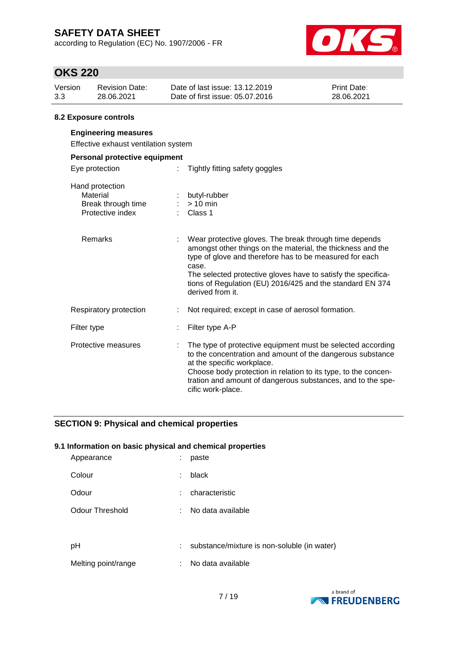according to Regulation (EC) No. 1907/2006 - FR



# **OKS 220**

| Version | <b>Revision Date:</b> | Date of last issue: 13.12.2019  | <b>Print Date:</b> |
|---------|-----------------------|---------------------------------|--------------------|
| 3.3     | 28.06.2021            | Date of first issue: 05.07.2016 | 28.06.2021         |

### **8.2 Exposure controls**

| <b>Engineering measures</b><br>Effective exhaust ventilation system   |                                                                                                                                                                                                                                                                                                                                               |  |  |  |  |  |  |
|-----------------------------------------------------------------------|-----------------------------------------------------------------------------------------------------------------------------------------------------------------------------------------------------------------------------------------------------------------------------------------------------------------------------------------------|--|--|--|--|--|--|
| Personal protective equipment                                         |                                                                                                                                                                                                                                                                                                                                               |  |  |  |  |  |  |
| Eye protection                                                        | Tightly fitting safety goggles                                                                                                                                                                                                                                                                                                                |  |  |  |  |  |  |
| Hand protection<br>Material<br>Break through time<br>Protective index | butyl-rubber<br>$> 10$ min<br>Class 1                                                                                                                                                                                                                                                                                                         |  |  |  |  |  |  |
| Remarks                                                               | : Wear protective gloves. The break through time depends<br>amongst other things on the material, the thickness and the<br>type of glove and therefore has to be measured for each<br>case.<br>The selected protective gloves have to satisfy the specifica-<br>tions of Regulation (EU) 2016/425 and the standard EN 374<br>derived from it. |  |  |  |  |  |  |
| Respiratory protection                                                | Not required; except in case of aerosol formation.                                                                                                                                                                                                                                                                                            |  |  |  |  |  |  |
| Filter type                                                           | Filter type A-P                                                                                                                                                                                                                                                                                                                               |  |  |  |  |  |  |
| Protective measures                                                   | The type of protective equipment must be selected according<br>to the concentration and amount of the dangerous substance<br>at the specific workplace.<br>Choose body protection in relation to its type, to the concen-<br>tration and amount of dangerous substances, and to the spe-<br>cific work-place.                                 |  |  |  |  |  |  |

### **SECTION 9: Physical and chemical properties**

### **9.1 Information on basic physical and chemical properties**

| Appearance          | ÷  | paste                                       |
|---------------------|----|---------------------------------------------|
| Colour              | ÷  | black                                       |
| Odour               | ÷. | characteristic                              |
| Odour Threshold     | t. | No data available                           |
|                     |    |                                             |
| pH                  | t. | substance/mixture is non-soluble (in water) |
| Melting point/range | ÷  | No data available                           |

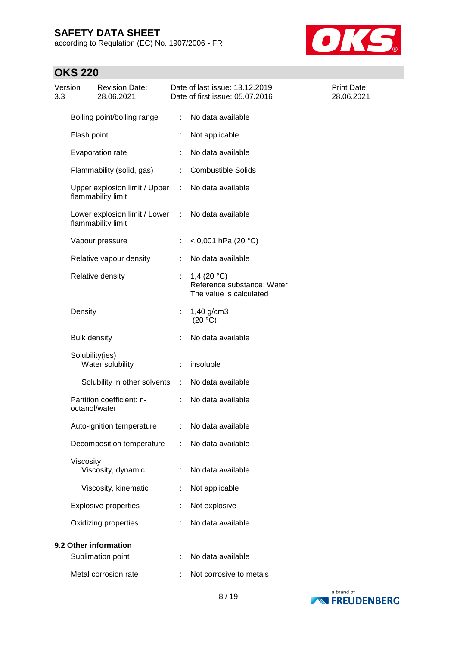according to Regulation (EC) No. 1907/2006 - FR



| Version<br>3.3 |                     | <b>Revision Date:</b><br>28.06.2021                 |    | Date of last issue: 13.12.2019<br>Date of first issue: 05.07.2016      | Print Date:<br>28.06.2021 |
|----------------|---------------------|-----------------------------------------------------|----|------------------------------------------------------------------------|---------------------------|
|                |                     | Boiling point/boiling range                         | ÷  | No data available                                                      |                           |
|                | Flash point         |                                                     |    | Not applicable                                                         |                           |
|                |                     | Evaporation rate                                    |    | No data available                                                      |                           |
|                |                     | Flammability (solid, gas)                           |    | <b>Combustible Solids</b>                                              |                           |
|                |                     | Upper explosion limit / Upper<br>flammability limit |    | No data available                                                      |                           |
|                |                     | Lower explosion limit / Lower<br>flammability limit | ÷  | No data available                                                      |                           |
|                |                     | Vapour pressure                                     |    | < 0,001 hPa (20 $^{\circ}$ C)                                          |                           |
|                |                     | Relative vapour density                             |    | No data available                                                      |                           |
|                |                     | Relative density                                    | ÷. | 1,4 $(20 °C)$<br>Reference substance: Water<br>The value is calculated |                           |
|                | Density             |                                                     |    | $1,40$ g/cm3<br>(20 °C)                                                |                           |
|                | <b>Bulk density</b> |                                                     |    | No data available                                                      |                           |
|                | Solubility(ies)     | Water solubility                                    |    | insoluble                                                              |                           |
|                |                     | Solubility in other solvents                        | ÷  | No data available                                                      |                           |
|                | octanol/water       | Partition coefficient: n-                           |    | No data available                                                      |                           |
|                |                     | Auto-ignition temperature                           |    | No data available                                                      |                           |
|                |                     | Decomposition temperature                           |    | No data available                                                      |                           |
|                | Viscosity           | Viscosity, dynamic                                  |    | No data available                                                      |                           |
|                |                     | Viscosity, kinematic                                | ÷  | Not applicable                                                         |                           |
|                |                     | <b>Explosive properties</b>                         |    | Not explosive                                                          |                           |
|                |                     | Oxidizing properties                                |    | No data available                                                      |                           |
|                |                     | 9.2 Other information                               |    |                                                                        |                           |
|                |                     | Sublimation point                                   |    | No data available                                                      |                           |
|                |                     | Metal corrosion rate                                |    | Not corrosive to metals                                                |                           |

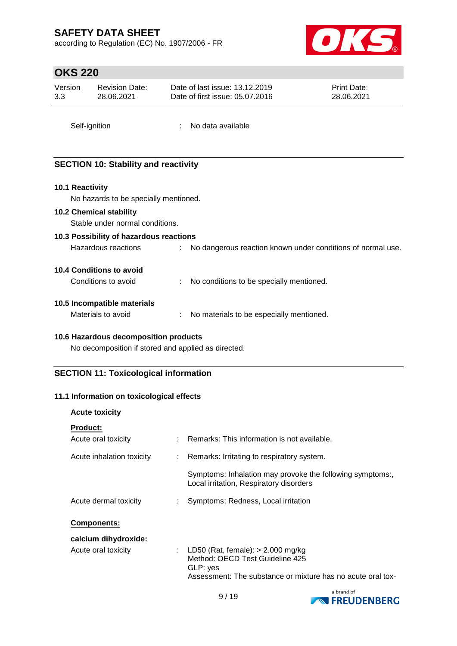according to Regulation (EC) No. 1907/2006 - FR



# **OKS 220**

| Version       | <b>Revision Date:</b> | Date of last issue: 13.12.2019  | <b>Print Date:</b> |
|---------------|-----------------------|---------------------------------|--------------------|
| 3.3           | 28.06.2021            | Date of first issue: 05.07.2016 | 28.06.2021         |
| Self-ignition |                       | No data available               |                    |

### **SECTION 10: Stability and reactivity**

### **10.1 Reactivity**

No hazards to be specially mentioned.

### **10.2 Chemical stability**

Stable under normal conditions.

### **10.3 Possibility of hazardous reactions**

| Hazardous reactions |  | No dangerous reaction known under conditions of normal use. |
|---------------------|--|-------------------------------------------------------------|
|---------------------|--|-------------------------------------------------------------|

#### **10.4 Conditions to avoid**

| Conditions to avoid |  | No conditions to be specially mentioned. |
|---------------------|--|------------------------------------------|
|---------------------|--|------------------------------------------|

### **10.5 Incompatible materials**

| Materials to avoid |  | No materials to be especially mentioned. |
|--------------------|--|------------------------------------------|
|--------------------|--|------------------------------------------|

### **10.6 Hazardous decomposition products**

No decomposition if stored and applied as directed.

### **SECTION 11: Toxicological information**

### **11.1 Information on toxicological effects**

| <b>Acute toxicity</b>     |                                                                                                                                                     |
|---------------------------|-----------------------------------------------------------------------------------------------------------------------------------------------------|
| <b>Product:</b>           |                                                                                                                                                     |
| Acute oral toxicity       | : Remarks: This information is not available.                                                                                                       |
| Acute inhalation toxicity | : Remarks: Irritating to respiratory system.                                                                                                        |
|                           | Symptoms: Inhalation may provoke the following symptoms:,<br>Local irritation, Respiratory disorders                                                |
| Acute dermal toxicity     | Symptoms: Redness, Local irritation                                                                                                                 |
| <b>Components:</b>        |                                                                                                                                                     |
| calcium dihydroxide:      |                                                                                                                                                     |
| Acute oral toxicity       | : LD50 (Rat, female): $> 2.000$ mg/kg<br>Method: OECD Test Guideline 425<br>GLP: yes<br>Assessment: The substance or mixture has no acute oral tox- |

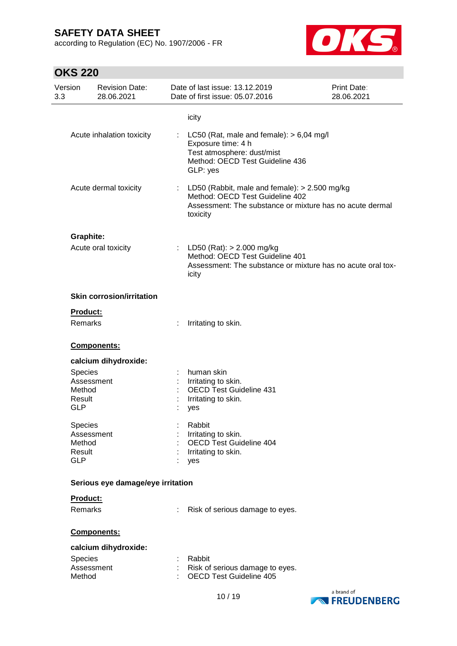according to Regulation (EC) No. 1907/2006 - FR



| Version<br>3.3 |                      | <b>Revision Date:</b><br>28.06.2021 |   | Date of last issue: 13.12.2019<br>Date of first issue: 05.07.2016                                                                                          | <b>Print Date:</b><br>28.06.2021 |
|----------------|----------------------|-------------------------------------|---|------------------------------------------------------------------------------------------------------------------------------------------------------------|----------------------------------|
|                |                      |                                     |   | icity                                                                                                                                                      |                                  |
|                |                      | Acute inhalation toxicity           |   | : LC50 (Rat, male and female): $> 6,04$ mg/l<br>Exposure time: 4 h<br>Test atmosphere: dust/mist<br>Method: OECD Test Guideline 436<br>GLP: yes            |                                  |
|                |                      | Acute dermal toxicity               |   | : LD50 (Rabbit, male and female): > 2.500 mg/kg<br>Method: OECD Test Guideline 402<br>Assessment: The substance or mixture has no acute dermal<br>toxicity |                                  |
|                | <b>Graphite:</b>     |                                     |   |                                                                                                                                                            |                                  |
|                |                      | Acute oral toxicity                 |   | : LD50 (Rat): $> 2.000$ mg/kg<br>Method: OECD Test Guideline 401<br>Assessment: The substance or mixture has no acute oral tox-<br>icity                   |                                  |
|                |                      | <b>Skin corrosion/irritation</b>    |   |                                                                                                                                                            |                                  |
|                | Product:             |                                     |   |                                                                                                                                                            |                                  |
|                | <b>Remarks</b>       |                                     |   | Irritating to skin.                                                                                                                                        |                                  |
|                |                      | Components:                         |   |                                                                                                                                                            |                                  |
|                |                      | calcium dihydroxide:                |   |                                                                                                                                                            |                                  |
|                | Species              |                                     |   | human skin                                                                                                                                                 |                                  |
|                | Assessment           |                                     |   | Irritating to skin.                                                                                                                                        |                                  |
|                | Method               |                                     |   | <b>OECD Test Guideline 431</b>                                                                                                                             |                                  |
|                | Result<br>GLP        |                                     |   | Irritating to skin.                                                                                                                                        |                                  |
|                |                      |                                     |   | yes                                                                                                                                                        |                                  |
|                | Species              |                                     |   | Rabbit                                                                                                                                                     |                                  |
|                | Assessment           |                                     |   | Irritating to skin.                                                                                                                                        |                                  |
|                | Method               |                                     |   | OECD Test Guideline 404                                                                                                                                    |                                  |
|                | Result<br><b>GLP</b> |                                     |   | Irritating to skin.<br>yes                                                                                                                                 |                                  |
|                |                      | Serious eye damage/eye irritation   |   |                                                                                                                                                            |                                  |
|                | Product:             |                                     |   |                                                                                                                                                            |                                  |
|                | <b>Remarks</b>       |                                     | ÷ | Risk of serious damage to eyes.                                                                                                                            |                                  |
|                |                      |                                     |   |                                                                                                                                                            |                                  |
|                |                      | Components:                         |   |                                                                                                                                                            |                                  |
|                |                      | calcium dihydroxide:                |   |                                                                                                                                                            |                                  |
|                | Species              |                                     |   | Rabbit                                                                                                                                                     |                                  |
|                | Assessment           |                                     |   | Risk of serious damage to eyes.                                                                                                                            |                                  |
|                | Method               |                                     |   | <b>OECD Test Guideline 405</b>                                                                                                                             |                                  |
|                |                      |                                     |   |                                                                                                                                                            | a brand of                       |

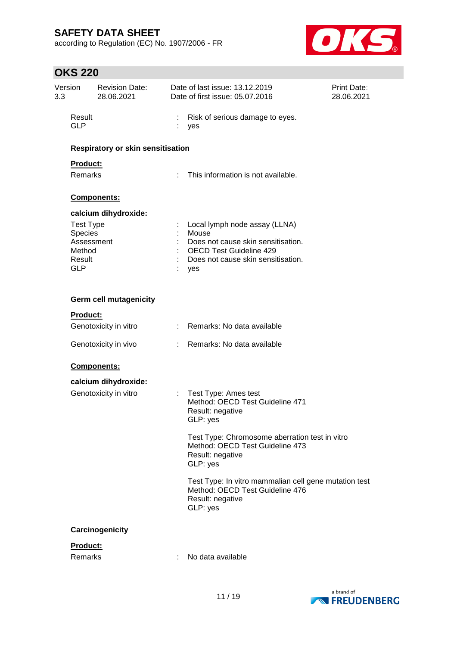according to Regulation (EC) No. 1907/2006 - FR



| Version<br>3.3 |                             | <b>Revision Date:</b><br>28.06.2021 |    | Date of last issue: 13.12.2019<br>Date of first issue: 05.07.2016                                                        | <b>Print Date:</b><br>28.06.2021 |
|----------------|-----------------------------|-------------------------------------|----|--------------------------------------------------------------------------------------------------------------------------|----------------------------------|
|                | Result<br><b>GLP</b>        |                                     |    | Risk of serious damage to eyes.<br>yes                                                                                   |                                  |
|                |                             | Respiratory or skin sensitisation   |    |                                                                                                                          |                                  |
|                | Product:                    |                                     |    |                                                                                                                          |                                  |
|                | <b>Remarks</b>              |                                     | ÷. | This information is not available.                                                                                       |                                  |
|                |                             | Components:                         |    |                                                                                                                          |                                  |
|                |                             | calcium dihydroxide:                |    |                                                                                                                          |                                  |
|                | <b>Test Type</b><br>Species |                                     |    | Local lymph node assay (LLNA)<br>Mouse                                                                                   |                                  |
|                | Assessment                  |                                     |    | Does not cause skin sensitisation.                                                                                       |                                  |
|                | Method<br>Result            |                                     |    | <b>OECD Test Guideline 429</b><br>Does not cause skin sensitisation.                                                     |                                  |
|                | <b>GLP</b>                  |                                     |    | yes                                                                                                                      |                                  |
|                |                             | <b>Germ cell mutagenicity</b>       |    |                                                                                                                          |                                  |
|                |                             |                                     |    |                                                                                                                          |                                  |
|                | <b>Product:</b>             | Genotoxicity in vitro               |    | : Remarks: No data available                                                                                             |                                  |
|                |                             | Genotoxicity in vivo                | ÷  | Remarks: No data available                                                                                               |                                  |
|                |                             | Components:                         |    |                                                                                                                          |                                  |
|                |                             | calcium dihydroxide:                |    |                                                                                                                          |                                  |
|                |                             | Genotoxicity in vitro               |    | Test Type: Ames test<br>Method: OECD Test Guideline 471<br>Result: negative                                              |                                  |
|                |                             |                                     |    | GLP: yes                                                                                                                 |                                  |
|                |                             |                                     |    | Test Type: Chromosome aberration test in vitro<br>Method: OECD Test Guideline 473<br>Result: negative<br>GLP: yes        |                                  |
|                |                             |                                     |    | Test Type: In vitro mammalian cell gene mutation test<br>Method: OECD Test Guideline 476<br>Result: negative<br>GLP: yes |                                  |
|                |                             | Carcinogenicity                     |    |                                                                                                                          |                                  |
|                | Product:                    |                                     |    |                                                                                                                          |                                  |
|                | Remarks                     |                                     | ÷  | No data available                                                                                                        |                                  |

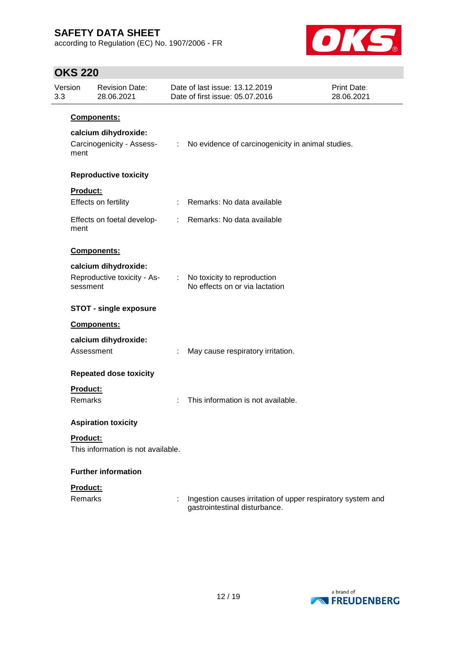according to Regulation (EC) No. 1907/2006 - FR



| Version<br>3.3 |                     | <b>Revision Date:</b><br>28.06.2021                 |                            | Date of last issue: 13.12.2019<br>Date of first issue: 05.07.2016                            | <b>Print Date:</b><br>28.06.2021 |
|----------------|---------------------|-----------------------------------------------------|----------------------------|----------------------------------------------------------------------------------------------|----------------------------------|
|                | ment                | Components:<br>calcium dihydroxide:                 |                            | Carcinogenicity - Assess- : No evidence of carcinogenicity in animal studies.                |                                  |
|                |                     | <b>Reproductive toxicity</b>                        |                            |                                                                                              |                                  |
|                |                     |                                                     |                            |                                                                                              |                                  |
|                | Product:            | Effects on fertility                                |                            | : Remarks: No data available                                                                 |                                  |
|                | ment                | Effects on foetal develop-                          |                            | : Remarks: No data available                                                                 |                                  |
|                |                     | <b>Components:</b>                                  |                            |                                                                                              |                                  |
|                | sessment            | calcium dihydroxide:<br>Reproductive toxicity - As- | $\mathcal{L}^{\text{max}}$ | No toxicity to reproduction<br>No effects on or via lactation                                |                                  |
|                |                     | <b>STOT - single exposure</b>                       |                            |                                                                                              |                                  |
|                |                     | <b>Components:</b>                                  |                            |                                                                                              |                                  |
|                | Assessment          | calcium dihydroxide:                                |                            | May cause respiratory irritation.                                                            |                                  |
|                |                     | <b>Repeated dose toxicity</b>                       |                            |                                                                                              |                                  |
|                | Product:<br>Remarks |                                                     |                            | This information is not available.                                                           |                                  |
|                |                     | <b>Aspiration toxicity</b>                          |                            |                                                                                              |                                  |
|                | <b>Product:</b>     | This information is not available.                  |                            |                                                                                              |                                  |
|                |                     | <b>Further information</b>                          |                            |                                                                                              |                                  |
|                | Product:            |                                                     |                            |                                                                                              |                                  |
|                | <b>Remarks</b>      |                                                     |                            | Ingestion causes irritation of upper respiratory system and<br>gastrointestinal disturbance. |                                  |

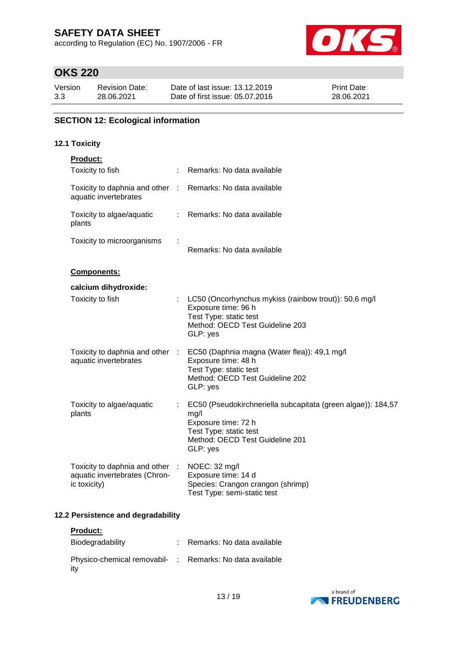according to Regulation (EC) No. 1907/2006 - FR



# **OKS 220**

| Version | <b>Revision Date:</b> | Date of last issue: 13.12.2019  | <b>Print Date:</b> |
|---------|-----------------------|---------------------------------|--------------------|
| 3.3     | 28.06.2021            | Date of first issue: 05.07.2016 | 28.06.2021         |

### **SECTION 12: Ecological information**

### **12.1 Toxicity**

| Product:                                                                         |                           |                                                                                                                                                                      |
|----------------------------------------------------------------------------------|---------------------------|----------------------------------------------------------------------------------------------------------------------------------------------------------------------|
| Toxicity to fish                                                                 |                           | Remarks: No data available                                                                                                                                           |
| Toxicity to daphnia and other<br>aquatic invertebrates                           | $\sim 100$                | Remarks: No data available                                                                                                                                           |
| Toxicity to algae/aquatic<br>plants                                              | $\mathbb{R}^{\mathbb{Z}}$ | Remarks: No data available                                                                                                                                           |
| Toxicity to microorganisms                                                       |                           | Remarks: No data available                                                                                                                                           |
| Components:                                                                      |                           |                                                                                                                                                                      |
| calcium dihydroxide:                                                             |                           |                                                                                                                                                                      |
| Toxicity to fish                                                                 |                           | LC50 (Oncorhynchus mykiss (rainbow trout)): 50,6 mg/l<br>Exposure time: 96 h<br>Test Type: static test<br>Method: OECD Test Guideline 203<br>GLP: yes                |
| Toxicity to daphnia and other :<br>aquatic invertebrates                         |                           | EC50 (Daphnia magna (Water flea)): 49,1 mg/l<br>Exposure time: 48 h<br>Test Type: static test<br>Method: OECD Test Guideline 202<br>GLP: yes                         |
| Toxicity to algae/aquatic<br>plants                                              |                           | EC50 (Pseudokirchneriella subcapitata (green algae)): 184,57<br>mg/l<br>Exposure time: 72 h<br>Test Type: static test<br>Method: OECD Test Guideline 201<br>GLP: yes |
| Toxicity to daphnia and other :<br>aquatic invertebrates (Chron-<br>ic toxicity) |                           | NOEC: 32 mg/l<br>Exposure time: 14 d<br>Species: Crangon crangon (shrimp)<br>Test Type: semi-static test                                                             |
|                                                                                  |                           |                                                                                                                                                                      |

### **12.2 Persistence and degradability**

| <b>Product:</b>                                                 |                              |
|-----------------------------------------------------------------|------------------------------|
| Biodegradability                                                | : Remarks: No data available |
| Physico-chemical removabil- : Remarks: No data available<br>itv |                              |

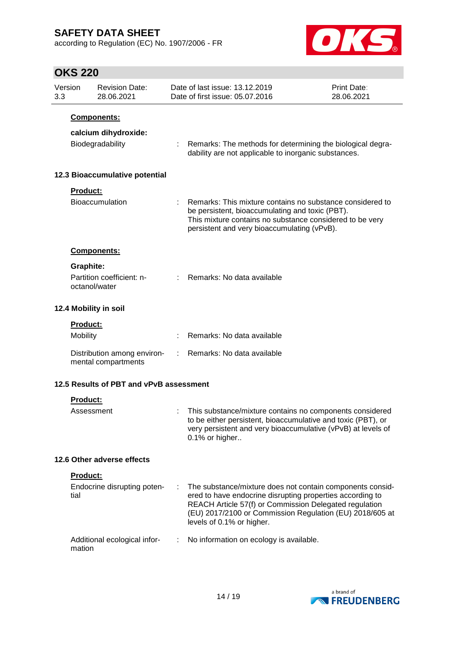according to Regulation (EC) No. 1907/2006 - FR



| Version<br>3.3 |                                    | <b>Revision Date:</b><br>28.06.2021                            |   | Date of last issue: 13.12.2019<br>Date of first issue: 05.07.2016                                                                                                                                                                                                         | Print Date:<br>28.06.2021 |
|----------------|------------------------------------|----------------------------------------------------------------|---|---------------------------------------------------------------------------------------------------------------------------------------------------------------------------------------------------------------------------------------------------------------------------|---------------------------|
|                |                                    | <b>Components:</b><br>calcium dihydroxide:<br>Biodegradability |   | Remarks: The methods for determining the biological degra-<br>dability are not applicable to inorganic substances.                                                                                                                                                        |                           |
|                |                                    | 12.3 Bioaccumulative potential                                 |   |                                                                                                                                                                                                                                                                           |                           |
|                | Product:                           | <b>Bioaccumulation</b>                                         |   | : Remarks: This mixture contains no substance considered to<br>be persistent, bioaccumulating and toxic (PBT).<br>This mixture contains no substance considered to be very<br>persistent and very bioaccumulating (vPvB).                                                 |                           |
|                |                                    | Components:                                                    |   |                                                                                                                                                                                                                                                                           |                           |
|                | <b>Graphite:</b><br>octanol/water  | Partition coefficient: n-                                      |   | Remarks: No data available                                                                                                                                                                                                                                                |                           |
|                |                                    | 12.4 Mobility in soil                                          |   |                                                                                                                                                                                                                                                                           |                           |
|                | <b>Product:</b><br><b>Mobility</b> |                                                                |   | Remarks: No data available                                                                                                                                                                                                                                                |                           |
|                |                                    | Distribution among environ-<br>mental compartments             | ÷ | Remarks: No data available                                                                                                                                                                                                                                                |                           |
|                |                                    | 12.5 Results of PBT and vPvB assessment                        |   |                                                                                                                                                                                                                                                                           |                           |
|                | <b>Product:</b>                    |                                                                |   |                                                                                                                                                                                                                                                                           |                           |
|                | Assessment                         |                                                                |   | This substance/mixture contains no components considered<br>to be either persistent, bioaccumulative and toxic (PBT), or<br>very persistent and very bioaccumulative (vPvB) at levels of<br>0.1% or higher                                                                |                           |
|                |                                    | 12.6 Other adverse effects                                     |   |                                                                                                                                                                                                                                                                           |                           |
|                | Product:                           |                                                                |   |                                                                                                                                                                                                                                                                           |                           |
|                | tial                               | Endocrine disrupting poten-                                    | ÷ | The substance/mixture does not contain components consid-<br>ered to have endocrine disrupting properties according to<br>REACH Article 57(f) or Commission Delegated regulation<br>(EU) 2017/2100 or Commission Regulation (EU) 2018/605 at<br>levels of 0.1% or higher. |                           |
|                | mation                             | Additional ecological infor-                                   |   | No information on ecology is available.                                                                                                                                                                                                                                   |                           |

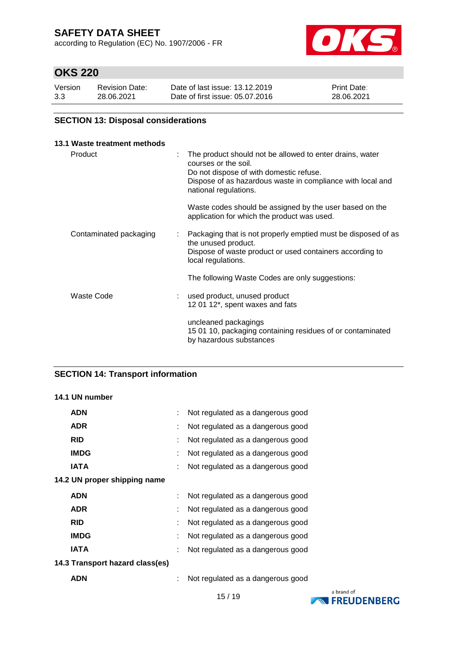according to Regulation (EC) No. 1907/2006 - FR



# **OKS 220**

| Version | <b>Revision Date:</b> | Date of last issue: 13.12.2019  | <b>Print Date:</b> |
|---------|-----------------------|---------------------------------|--------------------|
| 3.3     | 28.06.2021            | Date of first issue: 05.07.2016 | 28.06.2021         |

### **SECTION 13: Disposal considerations**

### **13.1 Waste treatment methods**

| Product                      | The product should not be allowed to enter drains, water<br>courses or the soil.<br>Do not dispose of with domestic refuse.<br>Dispose of as hazardous waste in compliance with local and<br>national regulations. |
|------------------------------|--------------------------------------------------------------------------------------------------------------------------------------------------------------------------------------------------------------------|
|                              | Waste codes should be assigned by the user based on the<br>application for which the product was used.                                                                                                             |
| Contaminated packaging<br>÷. | Packaging that is not properly emptied must be disposed of as<br>the unused product.<br>Dispose of waste product or used containers according to<br>local regulations.                                             |
|                              | The following Waste Codes are only suggestions:                                                                                                                                                                    |
| <b>Waste Code</b>            | : used product, unused product<br>12 01 12*, spent waxes and fats                                                                                                                                                  |
|                              | uncleaned packagings<br>15 01 10, packaging containing residues of or contaminated<br>by hazardous substances                                                                                                      |

### **SECTION 14: Transport information**

#### **14.1 UN number**

| Not regulated as a dangerous good |
|-----------------------------------|
| Not regulated as a dangerous good |
| Not regulated as a dangerous good |
| Not regulated as a dangerous good |
|                                   |
| Not regulated as a dangerous good |
| Not regulated as a dangerous good |
| Not regulated as a dangerous good |
| Not regulated as a dangerous good |
| Not regulated as a dangerous good |
|                                   |
| Not regulated as a dangerous good |
|                                   |

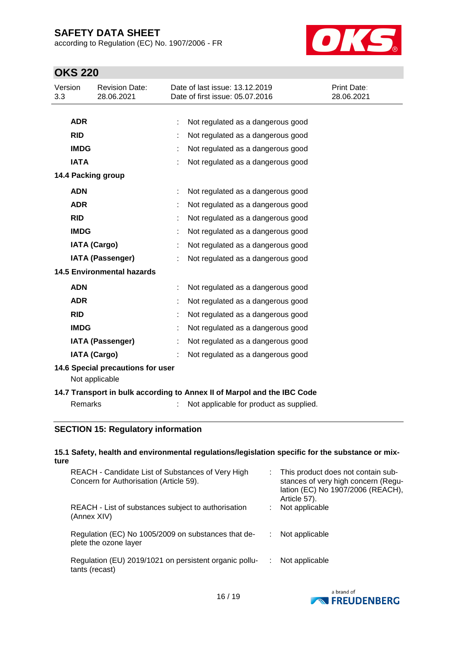according to Regulation (EC) No. 1907/2006 - FR



# **OKS 220**

| Version<br>3.3                    |             | <b>Revision Date:</b><br>28.06.2021 |  | Date of last issue: 13.12.2019<br>Date of first issue: 05.07.2016 | <b>Print Date:</b><br>28.06.2021 |
|-----------------------------------|-------------|-------------------------------------|--|-------------------------------------------------------------------|----------------------------------|
|                                   |             |                                     |  |                                                                   |                                  |
|                                   | <b>ADR</b>  |                                     |  | Not regulated as a dangerous good                                 |                                  |
|                                   | <b>RID</b>  |                                     |  | Not regulated as a dangerous good                                 |                                  |
|                                   | <b>IMDG</b> |                                     |  | Not regulated as a dangerous good                                 |                                  |
|                                   | <b>IATA</b> |                                     |  | Not regulated as a dangerous good                                 |                                  |
|                                   |             | 14.4 Packing group                  |  |                                                                   |                                  |
|                                   | <b>ADN</b>  |                                     |  | Not regulated as a dangerous good                                 |                                  |
|                                   | <b>ADR</b>  |                                     |  | Not regulated as a dangerous good                                 |                                  |
|                                   | <b>RID</b>  |                                     |  | Not regulated as a dangerous good                                 |                                  |
|                                   | <b>IMDG</b> |                                     |  | Not regulated as a dangerous good                                 |                                  |
|                                   |             | <b>IATA (Cargo)</b>                 |  | Not regulated as a dangerous good                                 |                                  |
|                                   |             | <b>IATA (Passenger)</b>             |  | Not regulated as a dangerous good                                 |                                  |
| <b>14.5 Environmental hazards</b> |             |                                     |  |                                                                   |                                  |
|                                   | <b>ADN</b>  |                                     |  | Not regulated as a dangerous good                                 |                                  |
|                                   | <b>ADR</b>  |                                     |  | Not regulated as a dangerous good                                 |                                  |
|                                   | <b>RID</b>  |                                     |  | Not regulated as a dangerous good                                 |                                  |
|                                   | <b>IMDG</b> |                                     |  | Not regulated as a dangerous good                                 |                                  |
|                                   |             | <b>IATA (Passenger)</b>             |  | Not regulated as a dangerous good                                 |                                  |
|                                   |             | <b>IATA (Cargo)</b>                 |  | Not regulated as a dangerous good                                 |                                  |
| 14.6 Special precautions for user |             |                                     |  |                                                                   |                                  |

Not applicable

### **14.7 Transport in bulk according to Annex II of Marpol and the IBC Code**

Remarks : Not applicable for product as supplied.

### **SECTION 15: Regulatory information**

#### **15.1 Safety, health and environmental regulations/legislation specific for the substance or mixture**

| REACH - Candidate List of Substances of Very High<br>Concern for Authorisation (Article 59). | : This product does not contain sub-<br>stances of very high concern (Regu-<br>lation (EC) No 1907/2006 (REACH),<br>Article 57). |
|----------------------------------------------------------------------------------------------|----------------------------------------------------------------------------------------------------------------------------------|
| REACH - List of substances subject to authorisation<br>(Annex XIV)                           | Not applicable                                                                                                                   |
| Regulation (EC) No 1005/2009 on substances that de-<br>plete the ozone layer                 | Not applicable                                                                                                                   |
| Regulation (EU) 2019/1021 on persistent organic pollu-<br>tants (recast)                     | Not applicable                                                                                                                   |

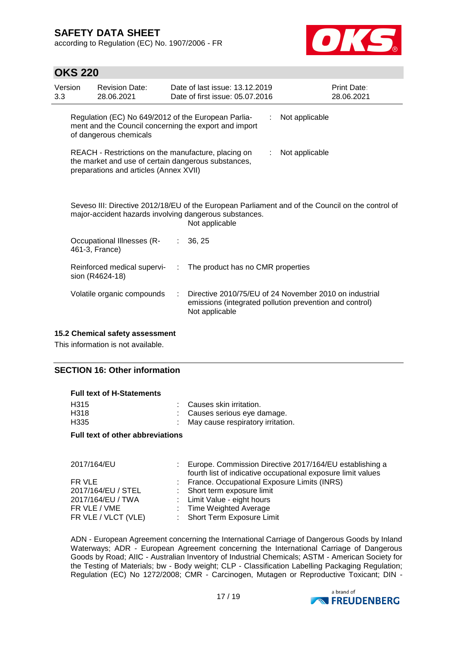according to Regulation (EC) No. 1907/2006 - FR



### **OKS 220**

| Version<br>3.3 | <b>Revision Date:</b><br>28.06.2021                                                                                                                  |  | Date of last issue: 13.12.2019<br>Date of first issue: 05.07.2016                                                                                                            | Print Date:<br>28.06.2021 |
|----------------|------------------------------------------------------------------------------------------------------------------------------------------------------|--|------------------------------------------------------------------------------------------------------------------------------------------------------------------------------|---------------------------|
|                | Regulation (EC) No 649/2012 of the European Parlia-<br>ment and the Council concerning the export and import<br>of dangerous chemicals               |  |                                                                                                                                                                              | Not applicable            |
|                | REACH - Restrictions on the manufacture, placing on<br>the market and use of certain dangerous substances,<br>preparations and articles (Annex XVII) |  | Not applicable                                                                                                                                                               |                           |
|                |                                                                                                                                                      |  | Seveso III: Directive 2012/18/EU of the European Parliament and of the Council on the control of<br>major-accident hazards involving dangerous substances.<br>Not applicable |                           |
|                | Occupational Illnesses (R-<br>461-3, France)                                                                                                         |  | 36, 25                                                                                                                                                                       |                           |
|                | Reinforced medical supervi-<br>sion (R4624-18)                                                                                                       |  | The product has no CMR properties                                                                                                                                            |                           |
|                | Volatile organic compounds                                                                                                                           |  | Directive 2010/75/EU of 24 November 2010 on industrial<br>emissions (integrated pollution prevention and control)<br>Not applicable                                          |                           |

### **15.2 Chemical safety assessment**

This information is not available.

### **SECTION 16: Other information**

|  |  |  | <b>Full text of H-Statements</b> |
|--|--|--|----------------------------------|
|--|--|--|----------------------------------|

| H315 | : Causes skin irritation.           |
|------|-------------------------------------|
| H318 | : Causes serious eye damage.        |
| H335 | : May cause respiratory irritation. |

### **Full text of other abbreviations**

| 2017/164/EU         | Europe. Commission Directive 2017/164/EU establishing a<br>fourth list of indicative occupational exposure limit values |
|---------------------|-------------------------------------------------------------------------------------------------------------------------|
| FR VLE              | : France. Occupational Exposure Limits (INRS)                                                                           |
| 2017/164/EU / STEL  | : Short term exposure limit                                                                                             |
| 2017/164/EU / TWA   | : Limit Value - eight hours                                                                                             |
| FR VLE / VME        | : Time Weighted Average                                                                                                 |
| FR VLE / VLCT (VLE) | : Short Term Exposure Limit                                                                                             |
|                     |                                                                                                                         |

ADN - European Agreement concerning the International Carriage of Dangerous Goods by Inland Waterways; ADR - European Agreement concerning the International Carriage of Dangerous Goods by Road; AIIC - Australian Inventory of Industrial Chemicals; ASTM - American Society for the Testing of Materials; bw - Body weight; CLP - Classification Labelling Packaging Regulation; Regulation (EC) No 1272/2008; CMR - Carcinogen, Mutagen or Reproductive Toxicant; DIN -

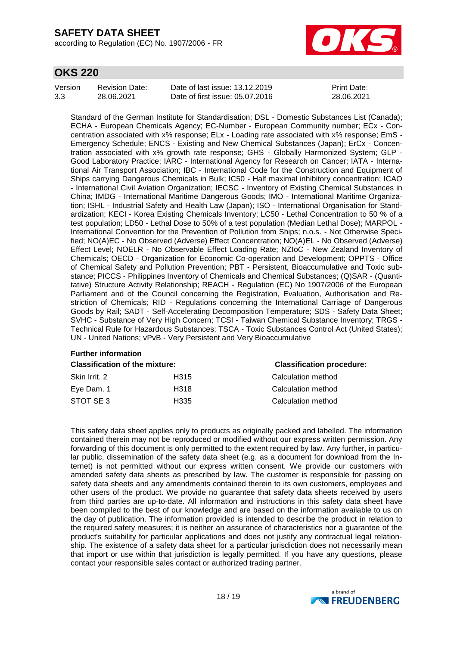according to Regulation (EC) No. 1907/2006 - FR



# **OKS 220**

| Version | Revision Date: | Date of last issue: 13.12.2019  | <b>Print Date:</b> |
|---------|----------------|---------------------------------|--------------------|
| 3.3     | 28.06.2021     | Date of first issue: 05.07.2016 | 28.06.2021         |

Standard of the German Institute for Standardisation; DSL - Domestic Substances List (Canada); ECHA - European Chemicals Agency; EC-Number - European Community number; ECx - Concentration associated with x% response; ELx - Loading rate associated with x% response; EmS - Emergency Schedule; ENCS - Existing and New Chemical Substances (Japan); ErCx - Concentration associated with x% growth rate response; GHS - Globally Harmonized System; GLP - Good Laboratory Practice; IARC - International Agency for Research on Cancer; IATA - International Air Transport Association; IBC - International Code for the Construction and Equipment of Ships carrying Dangerous Chemicals in Bulk; IC50 - Half maximal inhibitory concentration; ICAO - International Civil Aviation Organization; IECSC - Inventory of Existing Chemical Substances in China; IMDG - International Maritime Dangerous Goods; IMO - International Maritime Organization; ISHL - Industrial Safety and Health Law (Japan); ISO - International Organisation for Standardization; KECI - Korea Existing Chemicals Inventory; LC50 - Lethal Concentration to 50 % of a test population; LD50 - Lethal Dose to 50% of a test population (Median Lethal Dose); MARPOL - International Convention for the Prevention of Pollution from Ships; n.o.s. - Not Otherwise Specified; NO(A)EC - No Observed (Adverse) Effect Concentration; NO(A)EL - No Observed (Adverse) Effect Level; NOELR - No Observable Effect Loading Rate; NZIoC - New Zealand Inventory of Chemicals; OECD - Organization for Economic Co-operation and Development; OPPTS - Office of Chemical Safety and Pollution Prevention; PBT - Persistent, Bioaccumulative and Toxic substance; PICCS - Philippines Inventory of Chemicals and Chemical Substances; (Q)SAR - (Quantitative) Structure Activity Relationship; REACH - Regulation (EC) No 1907/2006 of the European Parliament and of the Council concerning the Registration, Evaluation, Authorisation and Restriction of Chemicals; RID - Regulations concerning the International Carriage of Dangerous Goods by Rail; SADT - Self-Accelerating Decomposition Temperature; SDS - Safety Data Sheet; SVHC - Substance of Very High Concern; TCSI - Taiwan Chemical Substance Inventory; TRGS - Technical Rule for Hazardous Substances; TSCA - Toxic Substances Control Act (United States); UN - United Nations; vPvB - Very Persistent and Very Bioaccumulative

### **Further information**

| <b>Classification of the mixture:</b> | <b>Classification procedure:</b> |  |
|---------------------------------------|----------------------------------|--|
| H315                                  | Calculation method               |  |
| H318                                  | Calculation method               |  |
| H335                                  | Calculation method               |  |
|                                       |                                  |  |

This safety data sheet applies only to products as originally packed and labelled. The information contained therein may not be reproduced or modified without our express written permission. Any forwarding of this document is only permitted to the extent required by law. Any further, in particular public, dissemination of the safety data sheet (e.g. as a document for download from the Internet) is not permitted without our express written consent. We provide our customers with amended safety data sheets as prescribed by law. The customer is responsible for passing on safety data sheets and any amendments contained therein to its own customers, employees and other users of the product. We provide no guarantee that safety data sheets received by users from third parties are up-to-date. All information and instructions in this safety data sheet have been compiled to the best of our knowledge and are based on the information available to us on the day of publication. The information provided is intended to describe the product in relation to the required safety measures; it is neither an assurance of characteristics nor a guarantee of the product's suitability for particular applications and does not justify any contractual legal relationship. The existence of a safety data sheet for a particular jurisdiction does not necessarily mean that import or use within that jurisdiction is legally permitted. If you have any questions, please contact your responsible sales contact or authorized trading partner.